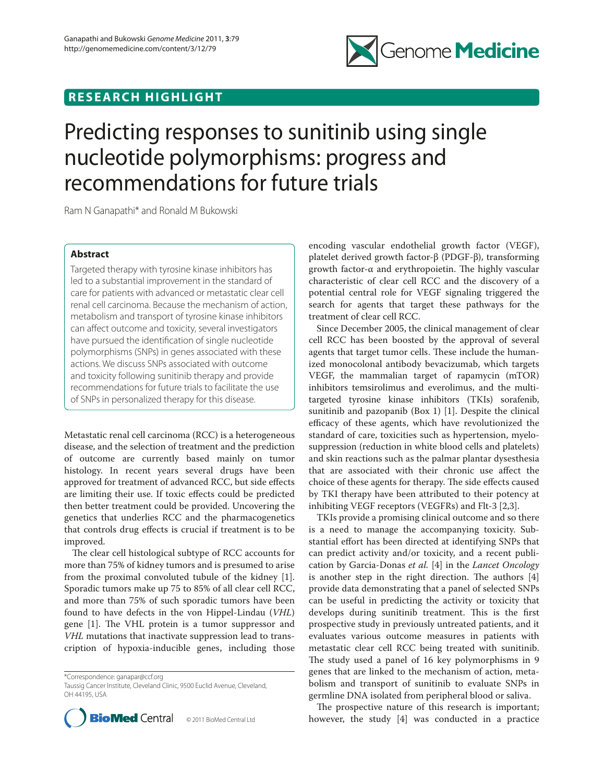## **RESEARCH HIGHLIGHT**



# Predicting responses to sunitinib using single nucleotide polymorphisms: progress and recommendations for future trials

Ram N Ganapathi\* and Ronald M Bukowski

### **Abstract**

Targeted therapy with tyrosine kinase inhibitors has led to a substantial improvement in the standard of care for patients with advanced or metastatic clear cell renal cell carcinoma. Because the mechanism of action, metabolism and transport of tyrosine kinase inhibitors can affect outcome and toxicity, several investigators have pursued the identification of single nucleotide polymorphisms (SNPs) in genes associated with these actions. We discuss SNPs associated with outcome and toxicity following sunitinib therapy and provide recommendations for future trials to facilitate the use of SNPs in personalized therapy for this disease.

Metastatic renal cell carcinoma (RCC) is a heterogeneous disease, and the selection of treatment and the prediction of outcome are currently based mainly on tumor histology. In recent years several drugs have been approved for treatment of advanced RCC, but side effects are limiting their use. If toxic effects could be predicted then better treatment could be provided. Uncovering the genetics that underlies RCC and the pharmacogenetics that controls drug effects is crucial if treatment is to be improved.

The clear cell histological subtype of RCC accounts for more than 75% of kidney tumors and is presumed to arise from the proximal convoluted tubule of the kidney [1]. Sporadic tumors make up 75 to 85% of all clear cell RCC, and more than 75% of such sporadic tumors have been found to have defects in the von Hippel-Lindau (*VHL*) gene [1]. The VHL protein is a tumor suppressor and *VHL* mutations that inactivate suppression lead to transcription of hypoxia-inducible genes, including those

\*Correspondence: ganapar@ccf.org

Taussig Cancer Institute, Cleveland Clinic, 9500 Euclid Avenue, Cleveland, OH 44195, USA



encoding vascular endothelial growth factor (VEGF), platelet derived growth factor-β (PDGF-β), transforming growth factor-α and erythropoietin. The highly vascular characteristic of clear cell RCC and the discovery of a potential central role for VEGF signaling triggered the search for agents that target these pathways for the treatment of clear cell RCC.

Since December 2005, the clinical management of clear cell RCC has been boosted by the approval of several agents that target tumor cells. These include the humanized monocolonal antibody bevacizumab, which targets VEGF, the mammalian target of rapamycin (mTOR) inhibitors temsirolimus and everolimus, and the multitargeted tyrosine kinase inhibitors (TKIs) sorafenib, sunitinib and pazopanib (Box 1) [1]. Despite the clinical efficacy of these agents, which have revolutionized the standard of care, toxicities such as hypertension, myelosuppression (reduction in white blood cells and platelets) and skin reactions such as the palmar plantar dysesthesia that are associated with their chronic use affect the choice of these agents for therapy. The side effects caused by TKI therapy have been attributed to their potency at inhibiting VEGF receptors (VEGFRs) and Flt-3 [2,3].

TKIs provide a promising clinical outcome and so there is a need to manage the accompanying toxicity. Substantial effort has been directed at identifying SNPs that can predict activity and/or toxicity, and a recent publication by Garcia-Donas *et al.* [4] in the *Lancet Oncology* is another step in the right direction. The authors  $[4]$ provide data demonstrating that a panel of selected SNPs can be useful in predicting the activity or toxicity that develops during sunitinib treatment. This is the first prospective study in previously untreated patients, and it evaluates various outcome measures in patients with metastatic clear cell RCC being treated with sunitinib. The study used a panel of 16 key polymorphisms in 9 genes that are linked to the mechanism of action, metabolism and transport of sunitinib to evaluate SNPs in germline DNA isolated from peripheral blood or saliva.

The prospective nature of this research is important; however, the study [4] was conducted in a practice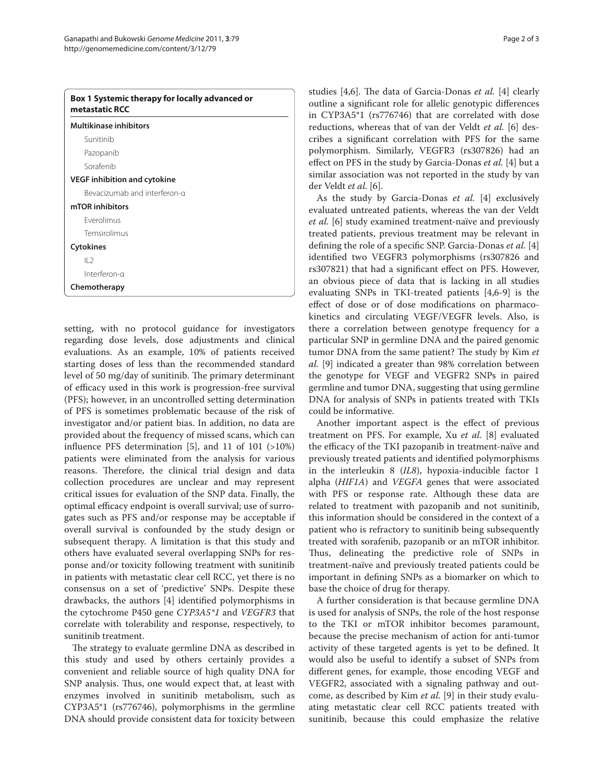| <b>Multikinase inhibitors</b>       |  |
|-------------------------------------|--|
| Sunitinib                           |  |
| Pazopanib                           |  |
| Sorafenib                           |  |
| <b>VEGF inhibition and cytokine</b> |  |
| Bevacizumab and interferon-g        |  |
| mTOR inhibitors                     |  |
| <b>Fverolimus</b>                   |  |
| Temsirolimus                        |  |
| <b>Cytokines</b>                    |  |
| 2                                   |  |
| Interferon-a                        |  |
| Chemotherapy                        |  |

setting, with no protocol guidance for investigators regarding dose levels, dose adjustments and clinical evaluations. As an example, 10% of patients received starting doses of less than the recommended standard level of 50 mg/day of sunitinib. The primary determinant of efficacy used in this work is progression-free survival (PFS); however, in an uncontrolled setting determination of PFS is sometimes problematic because of the risk of investigator and/or patient bias. In addition, no data are provided about the frequency of missed scans, which can influence PFS determination [5], and 11 of 101  $(>10%)$ patients were eliminated from the analysis for various reasons. Therefore, the clinical trial design and data collection procedures are unclear and may represent critical issues for evaluation of the SNP data. Finally, the optimal efficacy endpoint is overall survival; use of surrogates such as PFS and/or response may be acceptable if overall survival is confounded by the study design or subsequent therapy. A limitation is that this study and others have evaluated several overlapping SNPs for response and/or toxicity following treatment with sunitinib in patients with metastatic clear cell RCC, yet there is no consensus on a set of 'predictive' SNPs. Despite these drawbacks, the authors [4] identified polymorphisms in the cytochrome P450 gene *CYP3A5\*1* and *VEGFR3* that correlate with tolerability and response, respectively, to sunitinib treatment.

The strategy to evaluate germline DNA as described in this study and used by others certainly provides a convenient and reliable source of high quality DNA for SNP analysis. Thus, one would expect that, at least with enzymes involved in sunitinib metabolism, such as CYP3A5\*1 (rs776746), polymorphisms in the germline DNA should provide consistent data for toxicity between studies [4,6]. The data of Garcia-Donas *et al.* [4] clearly outline a significant role for allelic genotypic differences in CYP3A5\*1 (rs776746) that are correlated with dose reductions, whereas that of van der Veldt *et al.* [6] describes a significant correlation with PFS for the same polymorphism. Similarly, VEGFR3 (rs307826) had an effect on PFS in the study by Garcia-Donas *et al.* [4] but a similar association was not reported in the study by van der Veldt *et al.* [6].

As the study by Garcia-Donas *et al.* [4] exclusively evaluated untreated patients, whereas the van der Veldt *et al.* [6] study examined treatment-naïve and previously treated patients, previous treatment may be relevant in defining the role of a specific SNP. Garcia-Donas *et al.* [4] identified two VEGFR3 polymorphisms (rs307826 and rs307821) that had a significant effect on PFS. However, an obvious piece of data that is lacking in all studies evaluating SNPs in TKI-treated patients [4,6-9] is the effect of dose or of dose modifications on pharmacokinetics and circulating VEGF/VEGFR levels. Also, is there a correlation between genotype frequency for a particular SNP in germline DNA and the paired genomic tumor DNA from the same patient? The study by Kim *et al.* [9] indicated a greater than 98% correlation between the genotype for VEGF and VEGFR2 SNPs in paired germline and tumor DNA, suggesting that using germline DNA for analysis of SNPs in patients treated with TKIs could be informative.

Another important aspect is the effect of previous treatment on PFS. For example, Xu *et al.* [8] evaluated the efficacy of the TKI pazopanib in treatment-naïve and previously treated patients and identified polymorphisms in the interleukin 8 (*IL8*), hypoxia-inducible factor 1 alpha (*HIF1A*) and *VEGFA* genes that were associated with PFS or response rate. Although these data are related to treatment with pazopanib and not sunitinib, this information should be considered in the context of a patient who is refractory to sunitinib being subsequently treated with sorafenib, pazopanib or an mTOR inhibitor. Thus, delineating the predictive role of SNPs in treatment-naïve and previously treated patients could be important in defining SNPs as a biomarker on which to base the choice of drug for therapy.

A further consideration is that because germline DNA is used for analysis of SNPs, the role of the host response to the TKI or mTOR inhibitor becomes paramount, because the precise mechanism of action for anti-tumor activity of these targeted agents is yet to be defined. It would also be useful to identify a subset of SNPs from different genes, for example, those encoding VEGF and VEGFR2, associated with a signaling pathway and outcome, as described by Kim *et al.* [9] in their study evaluating metastatic clear cell RCC patients treated with sunitinib, because this could emphasize the relative